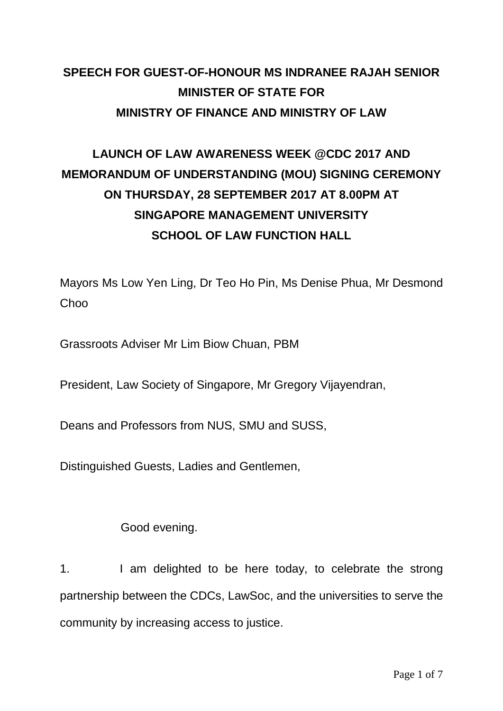### **SPEECH FOR GUEST-OF-HONOUR MS INDRANEE RAJAH SENIOR MINISTER OF STATE FOR MINISTRY OF FINANCE AND MINISTRY OF LAW**

## **LAUNCH OF LAW AWARENESS WEEK @CDC 2017 AND MEMORANDUM OF UNDERSTANDING (MOU) SIGNING CEREMONY ON THURSDAY, 28 SEPTEMBER 2017 AT 8.00PM AT SINGAPORE MANAGEMENT UNIVERSITY SCHOOL OF LAW FUNCTION HALL**

Mayors Ms Low Yen Ling, Dr Teo Ho Pin, Ms Denise Phua, Mr Desmond **Choo** 

Grassroots Adviser Mr Lim Biow Chuan, PBM

President, Law Society of Singapore, Mr Gregory Vijayendran,

Deans and Professors from NUS, SMU and SUSS,

Distinguished Guests, Ladies and Gentlemen,

Good evening.

1. I am delighted to be here today, to celebrate the strong partnership between the CDCs, LawSoc, and the universities to serve the community by increasing access to justice.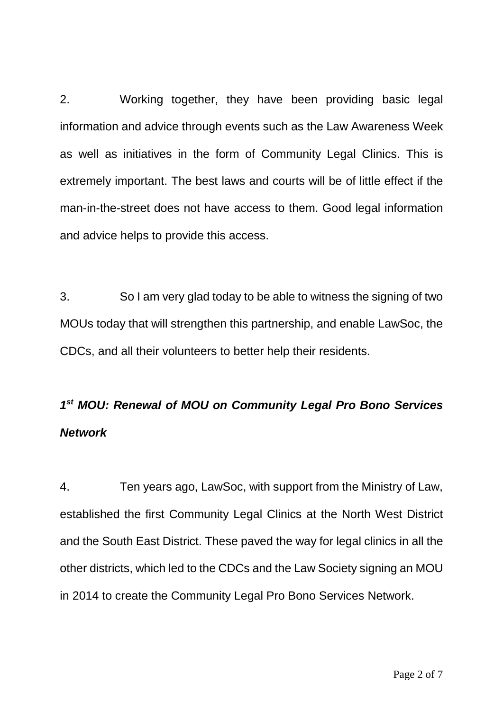2. Working together, they have been providing basic legal information and advice through events such as the Law Awareness Week as well as initiatives in the form of Community Legal Clinics. This is extremely important. The best laws and courts will be of little effect if the man-in-the-street does not have access to them. Good legal information and advice helps to provide this access.

3. So I am very glad today to be able to witness the signing of two MOUs today that will strengthen this partnership, and enable LawSoc, the CDCs, and all their volunteers to better help their residents.

# *1 st MOU: Renewal of MOU on Community Legal Pro Bono Services Network*

4. Ten years ago, LawSoc, with support from the Ministry of Law, established the first Community Legal Clinics at the North West District and the South East District. These paved the way for legal clinics in all the other districts, which led to the CDCs and the Law Society signing an MOU in 2014 to create the Community Legal Pro Bono Services Network.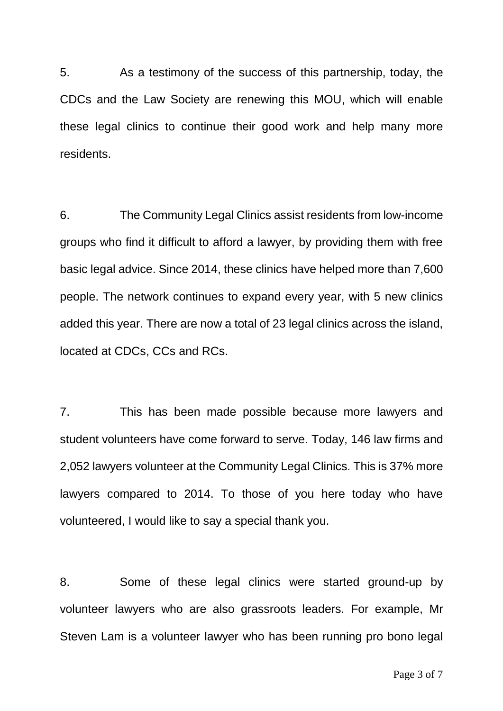5. As a testimony of the success of this partnership, today, the CDCs and the Law Society are renewing this MOU, which will enable these legal clinics to continue their good work and help many more residents.

6. The Community Legal Clinics assist residents from low-income groups who find it difficult to afford a lawyer, by providing them with free basic legal advice. Since 2014, these clinics have helped more than 7,600 people. The network continues to expand every year, with 5 new clinics added this year. There are now a total of 23 legal clinics across the island, located at CDCs, CCs and RCs.

7. This has been made possible because more lawyers and student volunteers have come forward to serve. Today, 146 law firms and 2,052 lawyers volunteer at the Community Legal Clinics. This is 37% more lawyers compared to 2014. To those of you here today who have volunteered, I would like to say a special thank you.

8. Some of these legal clinics were started ground-up by volunteer lawyers who are also grassroots leaders. For example, Mr Steven Lam is a volunteer lawyer who has been running pro bono legal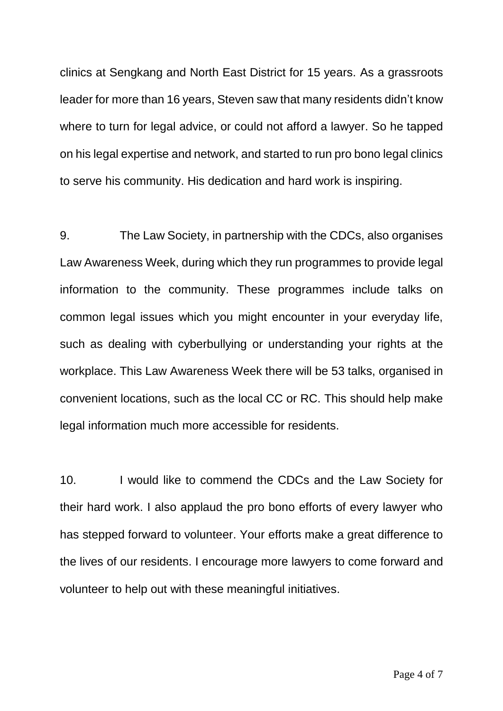clinics at Sengkang and North East District for 15 years. As a grassroots leader for more than 16 years, Steven saw that many residents didn't know where to turn for legal advice, or could not afford a lawyer. So he tapped on his legal expertise and network, and started to run pro bono legal clinics to serve his community. His dedication and hard work is inspiring.

9. The Law Society, in partnership with the CDCs, also organises Law Awareness Week, during which they run programmes to provide legal information to the community. These programmes include talks on common legal issues which you might encounter in your everyday life, such as dealing with cyberbullying or understanding your rights at the workplace. This Law Awareness Week there will be 53 talks, organised in convenient locations, such as the local CC or RC. This should help make legal information much more accessible for residents.

10. I would like to commend the CDCs and the Law Society for their hard work. I also applaud the pro bono efforts of every lawyer who has stepped forward to volunteer. Your efforts make a great difference to the lives of our residents. I encourage more lawyers to come forward and volunteer to help out with these meaningful initiatives.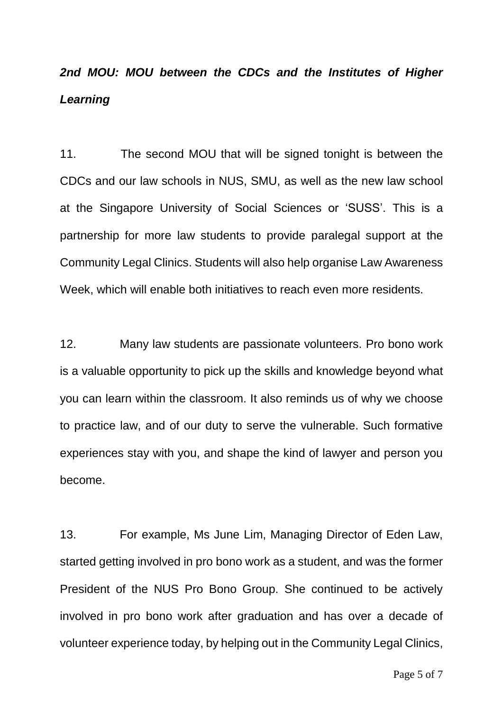## *2nd MOU: MOU between the CDCs and the Institutes of Higher Learning*

11. The second MOU that will be signed tonight is between the CDCs and our law schools in NUS, SMU, as well as the new law school at the Singapore University of Social Sciences or 'SUSS'. This is a partnership for more law students to provide paralegal support at the Community Legal Clinics. Students will also help organise Law Awareness Week, which will enable both initiatives to reach even more residents.

12. Many law students are passionate volunteers. Pro bono work is a valuable opportunity to pick up the skills and knowledge beyond what you can learn within the classroom. It also reminds us of why we choose to practice law, and of our duty to serve the vulnerable. Such formative experiences stay with you, and shape the kind of lawyer and person you become.

13. For example, Ms June Lim, Managing Director of Eden Law, started getting involved in pro bono work as a student, and was the former President of the NUS Pro Bono Group. She continued to be actively involved in pro bono work after graduation and has over a decade of volunteer experience today, by helping out in the Community Legal Clinics,

Page 5 of 7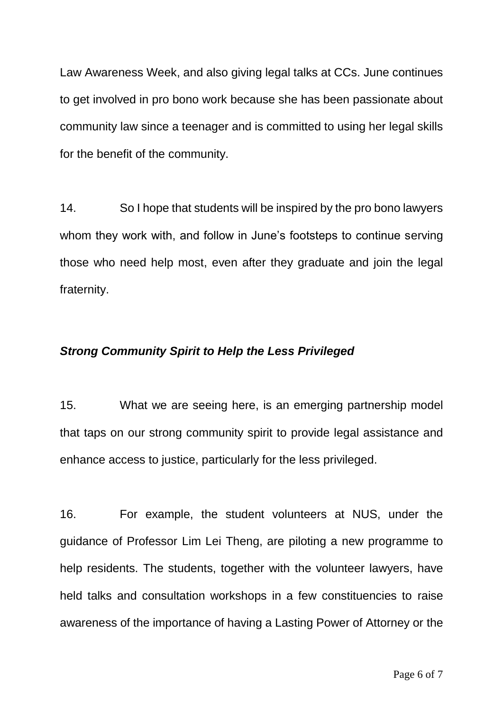Law Awareness Week, and also giving legal talks at CCs. June continues to get involved in pro bono work because she has been passionate about community law since a teenager and is committed to using her legal skills for the benefit of the community.

14. So I hope that students will be inspired by the pro bono lawyers whom they work with, and follow in June's footsteps to continue serving those who need help most, even after they graduate and join the legal fraternity.

#### *Strong Community Spirit to Help the Less Privileged*

15. What we are seeing here, is an emerging partnership model that taps on our strong community spirit to provide legal assistance and enhance access to justice, particularly for the less privileged.

16. For example, the student volunteers at NUS, under the guidance of Professor Lim Lei Theng, are piloting a new programme to help residents. The students, together with the volunteer lawyers, have held talks and consultation workshops in a few constituencies to raise awareness of the importance of having a Lasting Power of Attorney or the